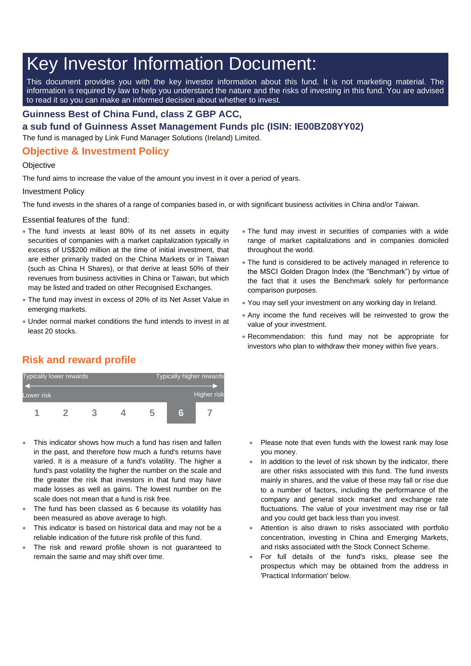# Key Investor Information Document:

This document provides you with the key investor information about this fund. It is not marketing material. The information is required by law to help you understand the nature and the risks of investing in this fund. You are advised to read it so you can make an informed decision about whether to invest.

### **Guinness Best of China Fund, class Z GBP ACC,**

**a sub fund of Guinness Asset Management Funds plc (ISIN: IE00BZ08YY02)**

The fund is managed by Link Fund Manager Solutions (Ireland) Limited.

## **Objective & Investment Policy**

#### **Objective**

The fund aims to increase the value of the amount you invest in it over a period of years.

#### Investment Policy

The fund invests in the shares of a range of companies based in, or with significant business activities in China and/or Taiwan.

Essential features of the fund:

- The fund invests at least 80% of its net assets in equity securities of companies with a market capitalization typically in excess of US\$200 million at the time of initial investment, that are either primarily traded on the China Markets or in Taiwan (such as China H Shares), or that derive at least 50% of their revenues from business activities in China or Taiwan, but which may be listed and traded on other Recognised Exchanges.
- The fund may invest in excess of 20% of its Net Asset Value in emerging markets.
- Under normal market conditions the fund intends to invest in at least 20 stocks.
- The fund may invest in securities of companies with a wide range of market capitalizations and in companies domiciled throughout the world.
- The fund is considered to be actively managed in reference to the MSCI Golden Dragon Index (the "Benchmark") by virtue of the fact that it uses the Benchmark solely for performance comparison purposes.
- You may sell your investment on any working day in Ireland.
- Any income the fund receives will be reinvested to grow the value of your investment.
- Recommendation: this fund may not be appropriate for investors who plan to withdraw their money within five years.

# **Risk and reward profile**



- This indicator shows how much a fund has risen and fallen in the past, and therefore how much a fund's returns have varied. It is a measure of a fund's volatility. The higher a fund's past volatility the higher the number on the scale and the greater the risk that investors in that fund may have made losses as well as gains. The lowest number on the scale does not mean that a fund is risk free.
- The fund has been classed as 6 because its volatility has been measured as above average to high.
- This indicator is based on historical data and may not be a reliable indication of the future risk profile of this fund.
- The risk and reward profile shown is not guaranteed to remain the same and may shift over time.
- Please note that even funds with the lowest rank may lose you money.
- In addition to the level of risk shown by the indicator, there are other risks associated with this fund. The fund invests mainly in shares, and the value of these may fall or rise due to a number of factors, including the performance of the company and general stock market and exchange rate fluctuations. The value of your investment may rise or fall and you could get back less than you invest.
- Attention is also drawn to risks associated with portfolio concentration, investing in China and Emerging Markets, and risks associated with the Stock Connect Scheme.
- For full details of the fund's risks, please see the prospectus which may be obtained from the address in 'Practical Information' below.